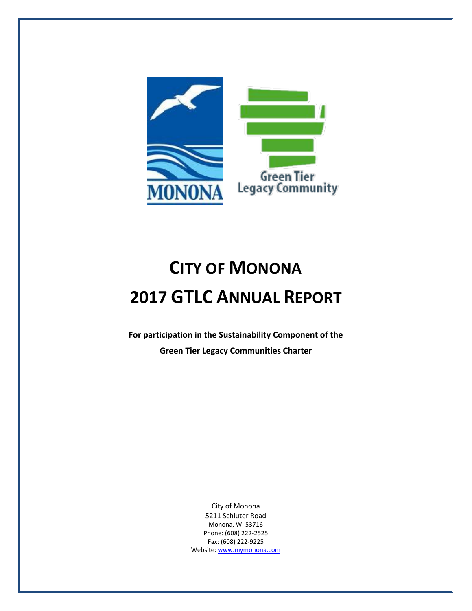

# **CITY OF MONONA 2017 GTLC ANNUAL REPORT**

**For participation in the Sustainability Component of the Green Tier Legacy Communities Charter**

> City of Monona 5211 Schluter Road Monona, WI 53716 Phone: (608) 222-2525 Fax: (608) 222-9225 Website[: www.mymonona.com](http://www.mymonona.com/)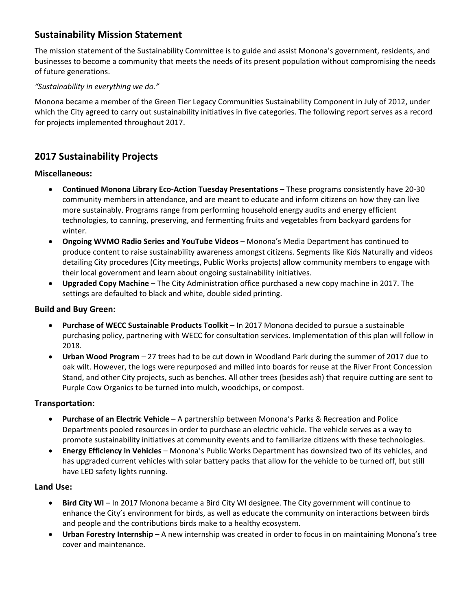# **Sustainability Mission Statement**

The mission statement of the Sustainability Committee is to guide and assist Monona's government, residents, and businesses to become a community that meets the needs of its present population without compromising the needs of future generations.

#### *"Sustainability in everything we do."*

Monona became a member of the Green Tier Legacy Communities Sustainability Component in July of 2012, under which the City agreed to carry out sustainability initiatives in five categories. The following report serves as a record for projects implemented throughout 2017.

## **2017 Sustainability Projects**

#### **Miscellaneous:**

- **Continued Monona Library Eco-Action Tuesday Presentations** These programs consistently have 20-30 community members in attendance, and are meant to educate and inform citizens on how they can live more sustainably. Programs range from performing household energy audits and energy efficient technologies, to canning, preserving, and fermenting fruits and vegetables from backyard gardens for winter.
- **Ongoing WVMO Radio Series and YouTube Videos** Monona's Media Department has continued to produce content to raise sustainability awareness amongst citizens. Segments like Kids Naturally and videos detailing City procedures (City meetings, Public Works projects) allow community members to engage with their local government and learn about ongoing sustainability initiatives.
- **Upgraded Copy Machine** The City Administration office purchased a new copy machine in 2017. The settings are defaulted to black and white, double sided printing.

#### **Build and Buy Green:**

- **Purchase of WECC Sustainable Products Toolkit** In 2017 Monona decided to pursue a sustainable purchasing policy, partnering with WECC for consultation services. Implementation of this plan will follow in 2018.
- **Urban Wood Program** 27 trees had to be cut down in Woodland Park during the summer of 2017 due to oak wilt. However, the logs were repurposed and milled into boards for reuse at the River Front Concession Stand, and other City projects, such as benches. All other trees (besides ash) that require cutting are sent to Purple Cow Organics to be turned into mulch, woodchips, or compost.

#### **Transportation:**

- **Purchase of an Electric Vehicle** A partnership between Monona's Parks & Recreation and Police Departments pooled resources in order to purchase an electric vehicle. The vehicle serves as a way to promote sustainability initiatives at community events and to familiarize citizens with these technologies.
- **Energy Efficiency in Vehicles** Monona's Public Works Department has downsized two of its vehicles, and has upgraded current vehicles with solar battery packs that allow for the vehicle to be turned off, but still have LED safety lights running.

#### **Land Use:**

- **Bird City WI** In 2017 Monona became a Bird City WI designee. The City government will continue to enhance the City's environment for birds, as well as educate the community on interactions between birds and people and the contributions birds make to a healthy ecosystem.
- **Urban Forestry Internship** A new internship was created in order to focus in on maintaining Monona's tree cover and maintenance.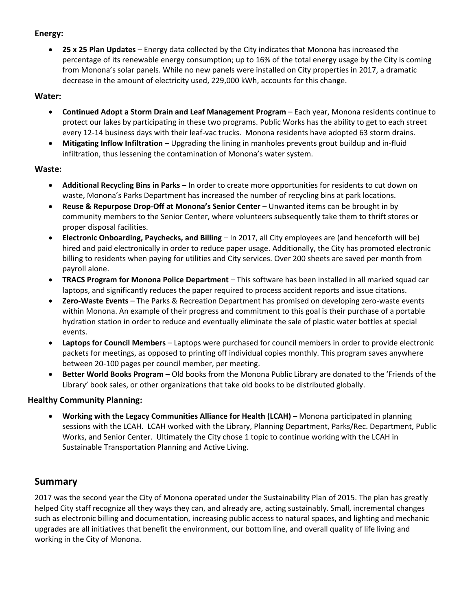#### **Energy:**

 **25 x 25 Plan Updates** – Energy data collected by the City indicates that Monona has increased the percentage of its renewable energy consumption; up to 16% of the total energy usage by the City is coming from Monona's solar panels. While no new panels were installed on City properties in 2017, a dramatic decrease in the amount of electricity used, 229,000 kWh, accounts for this change.

### **Water:**

- **Continued Adopt a Storm Drain and Leaf Management Program** Each year, Monona residents continue to protect our lakes by participating in these two programs. Public Works has the ability to get to each street every 12-14 business days with their leaf-vac trucks. Monona residents have adopted 63 storm drains.
- **Mitigating Inflow Infiltration** Upgrading the lining in manholes prevents grout buildup and in-fluid infiltration, thus lessening the contamination of Monona's water system.

### **Waste:**

- **Additional Recycling Bins in Parks** In order to create more opportunities for residents to cut down on waste, Monona's Parks Department has increased the number of recycling bins at park locations.
- **Reuse & Repurpose Drop-Off at Monona's Senior Center** Unwanted items can be brought in by community members to the Senior Center, where volunteers subsequently take them to thrift stores or proper disposal facilities.
- **Electronic Onboarding, Paychecks, and Billing** In 2017, all City employees are (and henceforth will be) hired and paid electronically in order to reduce paper usage. Additionally, the City has promoted electronic billing to residents when paying for utilities and City services. Over 200 sheets are saved per month from payroll alone.
- **TRACS Program for Monona Police Department** This software has been installed in all marked squad car laptops, and significantly reduces the paper required to process accident reports and issue citations.
- **Zero-Waste Events** The Parks & Recreation Department has promised on developing zero-waste events within Monona. An example of their progress and commitment to this goal is their purchase of a portable hydration station in order to reduce and eventually eliminate the sale of plastic water bottles at special events.
- **Laptops for Council Members** Laptops were purchased for council members in order to provide electronic packets for meetings, as opposed to printing off individual copies monthly. This program saves anywhere between 20-100 pages per council member, per meeting.
- **Better World Books Program** Old books from the Monona Public Library are donated to the 'Friends of the Library' book sales, or other organizations that take old books to be distributed globally.

## **Healthy Community Planning:**

 **Working with the Legacy Communities Alliance for Health (LCAH)** – Monona participated in planning sessions with the LCAH. LCAH worked with the Library, Planning Department, Parks/Rec. Department, Public Works, and Senior Center. Ultimately the City chose 1 topic to continue working with the LCAH in Sustainable Transportation Planning and Active Living.

## **Summary**

2017 was the second year the City of Monona operated under the Sustainability Plan of 2015. The plan has greatly helped City staff recognize all they ways they can, and already are, acting sustainably. Small, incremental changes such as electronic billing and documentation, increasing public access to natural spaces, and lighting and mechanic upgrades are all initiatives that benefit the environment, our bottom line, and overall quality of life living and working in the City of Monona.